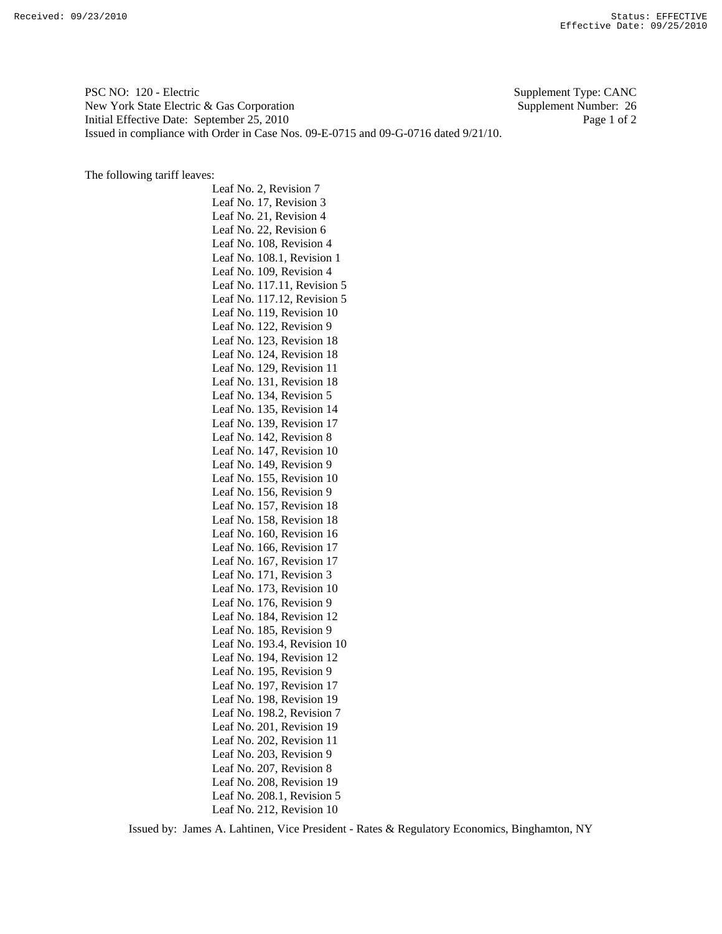PSC NO: 120 - Electric Supplement Type: CANC New York State Electric & Gas Corporation Supplement Number: 26 Initial Effective Date: September 25, 2010 Page 1 of 2 Issued in compliance with Order in Case Nos. 09-E-0715 and 09-G-0716 dated 9/21/10.

The following tariff leaves:

Leaf No. 2, Revision 7 Leaf No. 17, Revision 3 Leaf No. 21, Revision 4 Leaf No. 22, Revision 6 Leaf No. 108, Revision 4 Leaf No. 108.1, Revision 1 Leaf No. 109, Revision 4 Leaf No. 117.11, Revision 5 Leaf No. 117.12, Revision 5 Leaf No. 119, Revision 10 Leaf No. 122, Revision 9 Leaf No. 123, Revision 18 Leaf No. 124, Revision 18 Leaf No. 129, Revision 11 Leaf No. 131, Revision 18 Leaf No. 134, Revision 5 Leaf No. 135, Revision 14 Leaf No. 139, Revision 17 Leaf No. 142, Revision 8 Leaf No. 147, Revision 10 Leaf No. 149, Revision 9 Leaf No. 155, Revision 10 Leaf No. 156, Revision 9 Leaf No. 157, Revision 18 Leaf No. 158, Revision 18 Leaf No. 160, Revision 16 Leaf No. 166, Revision 17 Leaf No. 167, Revision 17 Leaf No. 171, Revision 3 Leaf No. 173, Revision 10 Leaf No. 176, Revision 9 Leaf No. 184, Revision 12 Leaf No. 185, Revision 9 Leaf No. 193.4, Revision 10 Leaf No. 194, Revision 12 Leaf No. 195, Revision 9 Leaf No. 197, Revision 17 Leaf No. 198, Revision 19 Leaf No. 198.2, Revision 7 Leaf No. 201, Revision 19 Leaf No. 202, Revision 11 Leaf No. 203, Revision 9 Leaf No. 207, Revision 8 Leaf No. 208, Revision 19 Leaf No. 208.1, Revision 5 Leaf No. 212, Revision 10

Issued by: James A. Lahtinen, Vice President - Rates & Regulatory Economics, Binghamton, NY